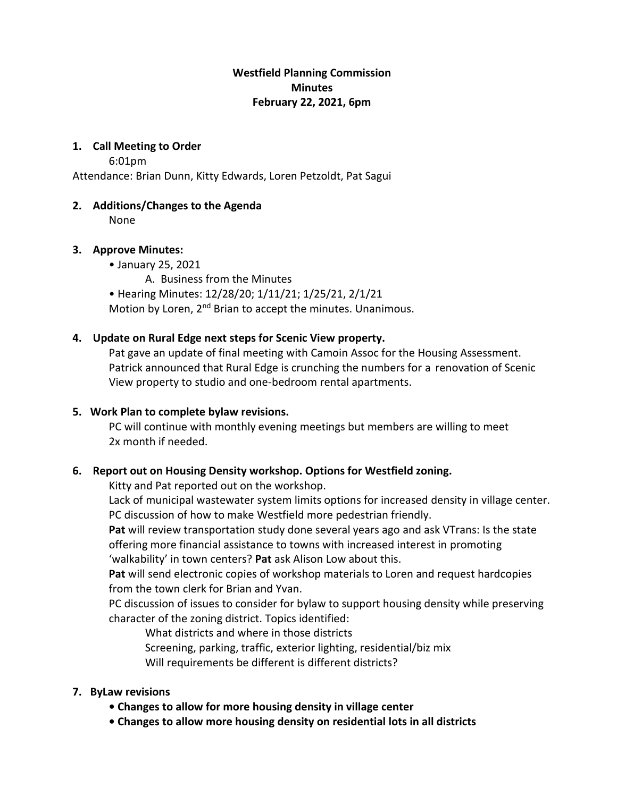# **Westfield Planning Commission Minutes February 22, 2021, 6pm**

#### **1. Call Meeting to Order**

6:01pm

Attendance: Brian Dunn, Kitty Edwards, Loren Petzoldt, Pat Sagui

### **2. Additions/Changes to the Agenda**

None

### **3. Approve Minutes:**

- January 25, 2021
	- A. Business from the Minutes
- Hearing Minutes: 12/28/20; 1/11/21; 1/25/21, 2/1/21

Motion by Loren, 2<sup>nd</sup> Brian to accept the minutes. Unanimous.

# **4. Update on Rural Edge next steps for Scenic View property.**

Pat gave an update of final meeting with Camoin Assoc for the Housing Assessment. Patrick announced that Rural Edge is crunching the numbers for a renovation of Scenic View property to studio and one-bedroom rental apartments.

# **5. Work Plan to complete bylaw revisions.**

PC will continue with monthly evening meetings but members are willing to meet 2x month if needed.

# **6. Report out on Housing Density workshop. Options for Westfield zoning.**

Kitty and Pat reported out on the workshop.

Lack of municipal wastewater system limits options for increased density in village center. PC discussion of how to make Westfield more pedestrian friendly.

**Pat** will review transportation study done several years ago and ask VTrans: Is the state offering more financial assistance to towns with increased interest in promoting 'walkability' in town centers? **Pat** ask Alison Low about this.

**Pat** will send electronic copies of workshop materials to Loren and request hardcopies from the town clerk for Brian and Yvan.

PC discussion of issues to consider for bylaw to support housing density while preserving character of the zoning district. Topics identified:

What districts and where in those districts Screening, parking, traffic, exterior lighting, residential/biz mix Will requirements be different is different districts?

# **7. ByLaw revisions**

- **Changes to allow for more housing density in village center**
- **Changes to allow more housing density on residential lots in all districts**